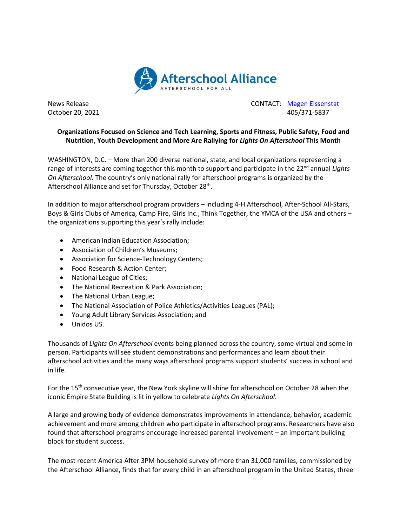

News Release CONTACT: [Magen Eissenstat](mailto:magen@prsolutionsdc.com) October 20, 2021 405/371-5837

## **Organizations Focused on Science and Tech Learning, Sports and Fitness, Public Safety, Food and Nutrition, Youth Development and More Are Rallying for** *Lights On Afterschool* **This Month**

WASHINGTON, D.C. – More than 200 diverse national, state, and local organizations representing a range of interests are coming together this month to support and participate in the 22<sup>nd</sup> annual *Lights On Afterschool.* The country's only national rally for afterschool programs is organized by the Afterschool Alliance and set for Thursday, October 28<sup>th</sup>.

In addition to major afterschool program providers – including 4-H Afterschool, After-School All-Stars, Boys & Girls Clubs of America, Camp Fire, Girls Inc., Think Together, the YMCA of the USA and others – the organizations supporting this year's rally include:

- American Indian Education Association;
- Association of Children's Museums;
- Association for Science-Technology Centers;
- Food Research & Action Center;
- National League of Cities;
- The National Recreation & Park Association;
- The National Urban League;
- The National Association of Police Athletics/Activities Leagues (PAL);
- Young Adult Library Services Association; and
- Unidos US.

Thousands of *Lights On Afterschool* events being planned across the country, some virtual and some inperson. Participants will see student demonstrations and performances and learn about their afterschool activities and the many ways afterschool programs support students' success in school and in life.

For the 15<sup>th</sup> consecutive year, the New York skyline will shine for afterschool on October 28 when the iconic Empire State Building is lit in yellow to celebrate *Lights On Afterschool*.

A large and growing body of evidence demonstrates improvements in attendance, behavior, academic achievement and more among children who participate in afterschool programs. Researchers have also found that afterschool programs encourage increased parental involvement – an important building block for student success.

The most recent America After 3PM household survey of more than 31,000 families, commissioned by the Afterschool Alliance, finds that for every child in an afterschool program in the United States, three